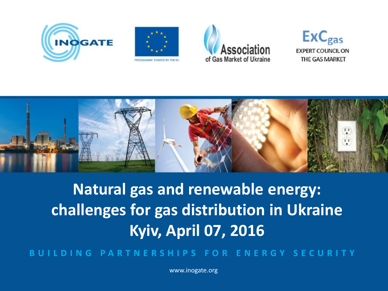









# **Natural gas and renewable energy: challenges for gas distribution in Ukraine Kyiv, April 07, 2016**

**B U I L D I N G P A R T N E R S H I P S F O R E N E R G Y S E C U R I T Y**

www.inogate.org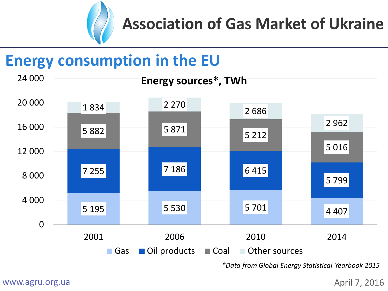

#### **Energy consumption in the EU**

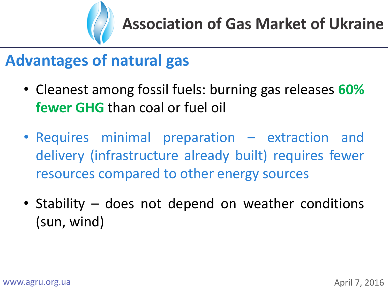

#### **Advantages of natural gas**

- Cleanest among fossil fuels: burning gas releases **60% fewer GHG** than coal or fuel oil
- Requires minimal preparation extraction and delivery (infrastructure already built) requires fewer resources compared to other energy sources
- Stability does not depend on weather conditions (sun, wind)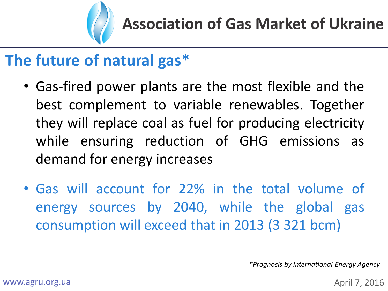

### **The future of natural gas\***

- Gas-fired power plants are the most flexible and the best complement to variable renewables. Together they will replace coal as fuel for producing electricity while ensuring reduction of GHG emissions as demand for energy increases
- Gas will account for 22% in the total volume of energy sources by 2040, while the global gas consumption will exceed that in 2013 (3 321 bcm)

*\*Prognosis by International Energy Agency*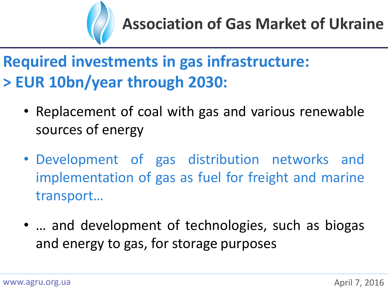

## **Required investments in gas infrastructure: > EUR 10bn/year through 2030:**

- Replacement of coal with gas and various renewable sources of energy
- Development of gas distribution networks and implementation of gas as fuel for freight and marine transport…
- … and development of technologies, such as biogas and energy to gas, for storage purposes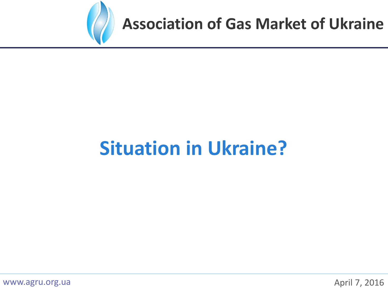

# **Situation in Ukraine?**

www.agru.org.ua

April 7, 2016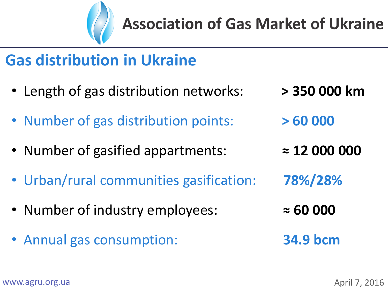

### **Gas distribution in Ukraine**

- Length of gas distribution networks: **> 350 000 km**
- Number of gas distribution points: **> 60 000**
- Number of gasified appartments: **≈ 12 000 000**
- Urban/rural communities gasification: **78%/28%**
- Number of industry employees: **≈ 60 000**
- Annual gas consumption: **34.9 bcm**
- 
- 
- 
- 
- -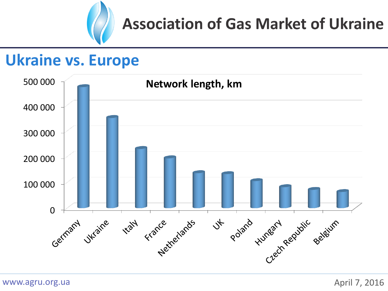

#### **Ukraine vs. Europe**

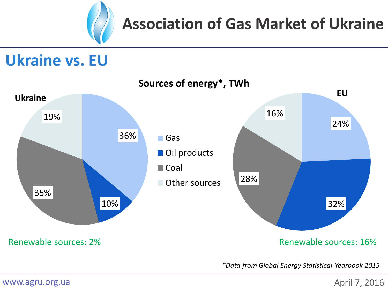

#### **Ukraine vs. EU**



*\*Data from Global Energy Statistical Yearbook 2015*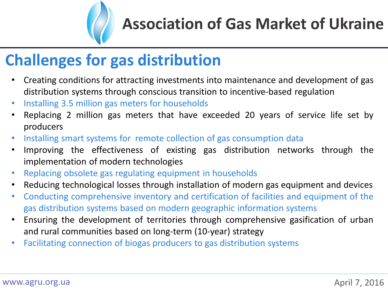

### **Challenges for gas distribution**

- Creating conditions for attracting investments into maintenance and development of gas distribution systems through conscious transition to incentive-based regulation
- Installing 3.5 million gas meters for households
- Replacing 2 million gas meters that have exceeded 20 years of service life set by producers
- Installing smart systems for remote collection of gas consumption data
- Improving the effectiveness of existing gas distribution networks through the implementation of modern technologies
- Replacing obsolete gas regulating equipment in households
- Reducing technological losses through installation of modern gas equipment and devices
- Conducting comprehensive inventory and certification of facilities and equipment of the gas distribution systems based on modern geographic information systems
- Ensuring the development of territories through comprehensive gasification of urban and rural communities based on long-term (10-year) strategy
- Facilitating connection of biogas producers to gas distribution systems